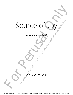# Per viola and loop pedal for viola and loop pedal services and  $\frac{1}{2}$ Source of Joy Source of Joy

*for viola and loop pedal*

# JESSICA MEYER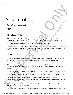# Source of Joy

*for viola and loop pedal*

**3'30"**

### **PROGRAM NOTE**

Performance materials must be purchased via www.jessicameyermusic.com **SOUIT CE OF JOY**<br>
for violat and loop pedal<br>
3330"<br>
FOGEAM NOTE Was you think of the sole the violation plays in typical changes in control in the sole of the violation of the sole of the control in the sole of the sole When you think of the role the violist plays in typical classical repertoire, usually you think of lamenting melodies, throaty melodramatic outbursts, or patterns that help hold the ensemble together. After writing this piece, I realized that the sounds I used were quite the opposite from what is expected of a violist. Here we have high, soaring, groovy, and virtuosically powerful sounds.

I wrote this piece after finally embracing the fact that I am indeed a composer, and thought that perhaps this was a fitting metaphor for life - because sometimes you have to go beyond what is expected of you to find your own source of joy...and it is never too late to do that,  $\mathbb C$ 

### **INSTRUCTIONS**

- This piece was written with a Boss Loop Station RC-20XL Phrase Recorder and a DPA 4099V Clip Microphone. However, the piece could be performed on any loop pedal that can start and stop playback, and loop an 8 beat phrase.

-The mic should amplify the natural resonance of the viola (I don't think stick-on contact mics would work, but feel free to try them). We want to be able to capture the more fragile and wispy sul tasto sounds.

 - To record, press the left pedal down. When you press it again, whatever you just played will have been recorded by the machine, for the exact length of time between pedal presses, and will start to repeat over and over again. Repeat the process to add layers. Each new layer of material is marked by a rehearsal #.

- Once you set the first loop and establish the initial tempo and duration, you could technically hit the pedal at any time to enter in new material (as long as you are lining up the new material with what you are hearing through the playback).

- To stop the playback, touch the right pedal. To clear all the sounds from the memory bank, hold the right pedal down for a few seconds to erase.

- When it is marked "solo" it means that you are not recording and are just playing along with the loops.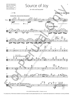For every rehearsal #, press the record pedal. When it says solo, stop recording to play solo over the loops.

## Source of Joy

*for viola and loop pedal*

 $\sqrt{ } = 96$ 

JESSICA MEYER



©2014 JMM Publishing (BMI). All rights reserved.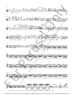



For perusal only. Performance materials must be purchased via www.jessicameyermusic.com. Unauthorized reproduction or distribution is strictly prohibited.

4